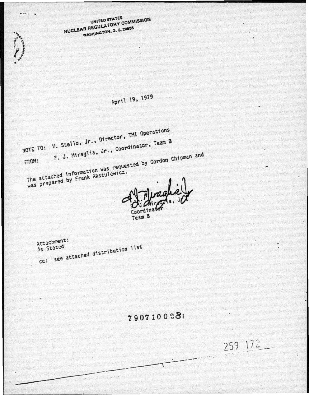NUCLEAR REGULATORY COMMISSION UNITED STATES WASHINGTON, D. C. 20555

 $\cdots$ 

Service on the contract

## April 19, 1979

NOTE TO: V. Stello, Jr., Director, TMI Operations F. J. Miraglia, Jr., Coordinator, Team B The attached information was requested by Gordon Chipman and FROM: was prepared by Frank Akstulewicz.

Coor

Team B

Attachment: As Stated cc: see attached distribution list

## 7907100281

259 172\_

 $\overline{\phantom{a}}$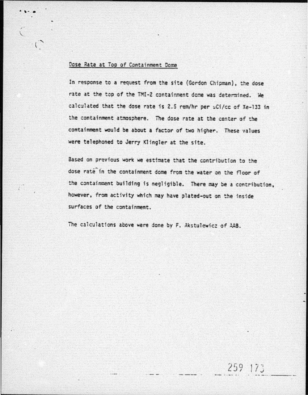## Dose Rate at Top of Containment Dome

. , .. .

In response to a request from the site (Gordon Chipman), the dose rate at the top of the TMI-2 containment dome was determined. We calculated that the dose rate is 2.5 rem/hr per uCi/cc of Xe-133 in the containment atmosphere. The dose rate at the center of the containment would be about a factor of two higher. These values were telephoned to Jerry Klingler at the site.

Based on previous work we estimate that the contribution to the dose rate in the containment dome from the water on the floor of the containment building is negligible. There may be a contribution, however, from activity which may have plated-out on the inside surfaces of the containment.

259 175

The calculations above were done by F. Akstulewicz of AAB.